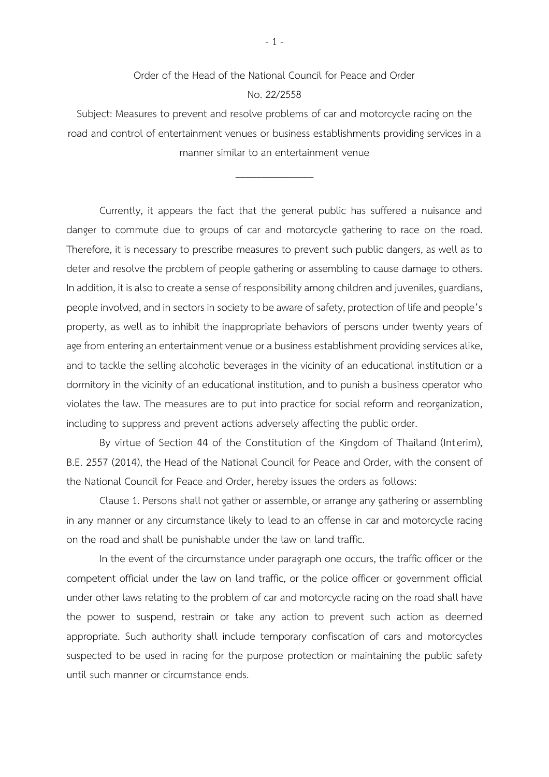## Order of the Head of the National Council for Peace and Order No. 22/2558

Subject: Measures to prevent and resolve problems of car and motorcycle racing on the road and control of entertainment venues or business establishments providing services in a manner similar to an entertainment venue

 $\overline{\phantom{a}}$  , where  $\overline{\phantom{a}}$ 

Currently, it appears the fact that the general public has suffered a nuisance and danger to commute due to groups of car and motorcycle gathering to race on the road. Therefore, it is necessary to prescribe measures to prevent such public dangers, as well as to deter and resolve the problem of people gathering or assembling to cause damage to others. In addition, it is also to create a sense of responsibility among children and juveniles, guardians, people involved, and in sectors in society to be aware of safety, protection of life and people's property, as well as to inhibit the inappropriate behaviors of persons under twenty years of age from entering an entertainment venue or a business establishment providing services alike, and to tackle the selling alcoholic beverages in the vicinity of an educational institution or a dormitory in the vicinity of an educational institution, and to punish a business operator who violates the law. The measures are to put into practice for social reform and reorganization, including to suppress and prevent actions adversely affecting the public order.

By virtue of Section 44 of the Constitution of the Kingdom of Thailand (Interim), B.E. 2557 (2014), the Head of the National Council for Peace and Order, with the consent of the National Council for Peace and Order, hereby issues the orders as follows:

Clause 1. Persons shall not gather or assemble, or arrange any gathering or assembling in any manner or any circumstance likely to lead to an offense in car and motorcycle racing on the road and shall be punishable under the law on land traffic.

In the event of the circumstance under paragraph one occurs, the traffic officer or the competent official under the law on land traffic, or the police officer or government official under other laws relating to the problem of car and motorcycle racing on the road shall have the power to suspend, restrain or take any action to prevent such action as deemed appropriate. Such authority shall include temporary confiscation of cars and motorcycles suspected to be used in racing for the purpose protection or maintaining the public safety until such manner or circumstance ends.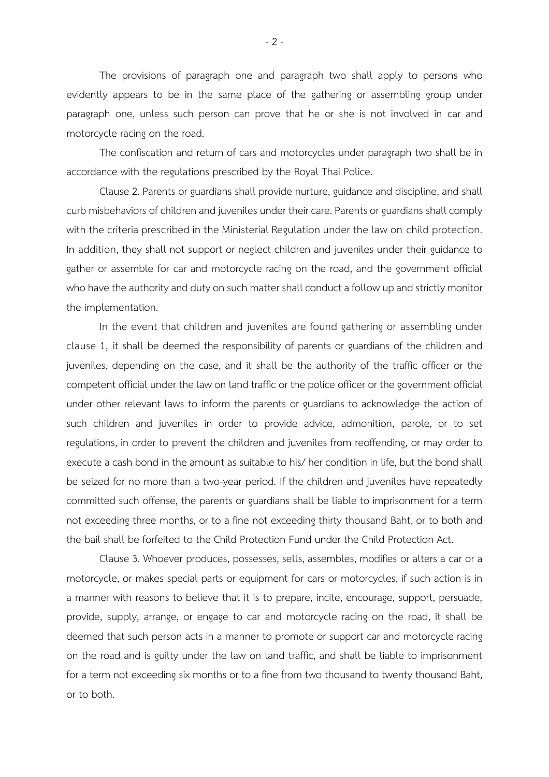The provisions of paragraph one and paragraph two shall apply to persons who evidently appears to be in the same place of the gathering or assembling group under paragraph one, unless such person can prove that he or she is not involved in car and motorcycle racing on the road.

The confiscation and return of cars and motorcycles under paragraph two shall be in accordance with the regulations prescribed by the Royal Thai Police.

Clause 2. Parents or guardians shall provide nurture, guidance and discipline, and shall curb misbehaviors of children and juveniles under their care. Parents or guardians shall comply with the criteria prescribed in the Ministerial Regulation under the law on child protection. In addition, they shall not support or neglect children and juveniles under their guidance to gather or assemble for car and motorcycle racing on the road, and the government official who have the authority and duty on such matter shall conduct a follow up and strictly monitor the implementation.

In the event that children and juveniles are found gathering or assembling under clause 1, it shall be deemed the responsibility of parents or guardians of the children and juveniles, depending on the case, and it shall be the authority of the traffic officer or the competent official under the law on land traffic or the police officer or the government official under other relevant laws to inform the parents or guardians to acknowledge the action of such children and juveniles in order to provide advice, admonition, parole, or to set regulations, in order to prevent the children and juveniles from reoffending, or may order to execute a cash bond in the amount as suitable to his/ her condition in life, but the bond shall be seized for no more than a two-year period. If the children and juveniles have repeatedly committed such offense, the parents or guardians shall be liable to imprisonment for a term not exceeding three months, or to a fine not exceeding thirty thousand Baht, or to both and the bail shall be forfeited to the Child Protection Fund under the Child Protection Act.

Clause 3. Whoever produces, possesses, sells, assembles, modifies or alters a car or a motorcycle, or makes special parts or equipment for cars or motorcycles, if such action is in a manner with reasons to believe that it is to prepare, incite, encourage, support, persuade, provide, supply, arrange, or engage to car and motorcycle racing on the road, it shall be deemed that such person acts in a manner to promote or support car and motorcycle racing on the road and is guilty under the law on land traffic, and shall be liable to imprisonment for a term not exceeding six months or to a fine from two thousand to twenty thousand Baht, or to both.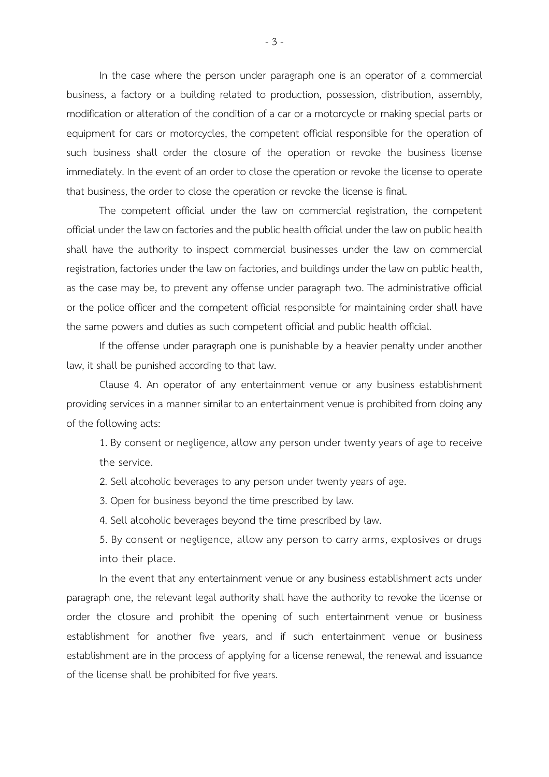In the case where the person under paragraph one is an operator of a commercial business, a factory or a building related to production, possession, distribution, assembly, modification or alteration of the condition of a car or a motorcycle or making special parts or equipment for cars or motorcycles, the competent official responsible for the operation of such business shall order the closure of the operation or revoke the business license immediately. In the event of an order to close the operation or revoke the license to operate that business, the order to close the operation or revoke the license is final.

The competent official under the law on commercial registration, the competent official under the law on factories and the public health official under the law on public health shall have the authority to inspect commercial businesses under the law on commercial registration, factories under the law on factories, and buildings under the law on public health, as the case may be, to prevent any offense under paragraph two. The administrative official or the police officer and the competent official responsible for maintaining order shall have the same powers and duties as such competent official and public health official.

If the offense under paragraph one is punishable by a heavier penalty under another law, it shall be punished according to that law.

Clause 4. An operator of any entertainment venue or any business establishment providing services in a manner similar to an entertainment venue is prohibited from doing any of the following acts:

1. By consent or negligence, allow any person under twenty years of age to receive the service.

2. Sell alcoholic beverages to any person under twenty years of age.

3. Open for business beyond the time prescribed by law.

4. Sell alcoholic beverages beyond the time prescribed by law.

5. By consent or negligence, allow any person to carry arms, explosives or drugs into their place.

In the event that any entertainment venue or any business establishment acts under paragraph one, the relevant legal authority shall have the authority to revoke the license or order the closure and prohibit the opening of such entertainment venue or business establishment for another five years, and if such entertainment venue or business establishment are in the process of applying for a license renewal, the renewal and issuance of the license shall be prohibited for five years.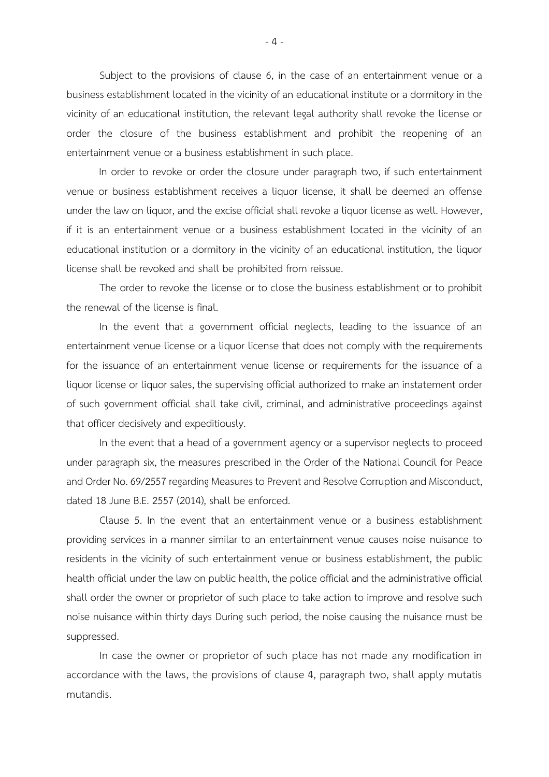Subject to the provisions of clause 6, in the case of an entertainment venue or a business establishment located in the vicinity of an educational institute or a dormitory in the vicinity of an educational institution, the relevant legal authority shall revoke the license or order the closure of the business establishment and prohibit the reopening of an entertainment venue or a business establishment in such place.

In order to revoke or order the closure under paragraph two, if such entertainment venue or business establishment receives a liquor license, it shall be deemed an offense under the law on liquor, and the excise official shall revoke a liquor license as well. However, if it is an entertainment venue or a business establishment located in the vicinity of an educational institution or a dormitory in the vicinity of an educational institution, the liquor license shall be revoked and shall be prohibited from reissue.

The order to revoke the license or to close the business establishment or to prohibit the renewal of the license is final.

In the event that a government official neglects, leading to the issuance of an entertainment venue license or a liquor license that does not comply with the requirements for the issuance of an entertainment venue license or requirements for the issuance of a liquor license or liquor sales, the supervising official authorized to make an instatement order of such government official shall take civil, criminal, and administrative proceedings against that officer decisively and expeditiously.

In the event that a head of a government agency or a supervisor neglects to proceed under paragraph six, the measures prescribed in the Order of the National Council for Peace and Order No. 69/2557 regarding Measures to Prevent and Resolve Corruption and Misconduct, dated 18 June B.E. 2557 (2014), shall be enforced.

Clause 5. In the event that an entertainment venue or a business establishment providing services in a manner similar to an entertainment venue causes noise nuisance to residents in the vicinity of such entertainment venue or business establishment, the public health official under the law on public health, the police official and the administrative official shall order the owner or proprietor of such place to take action to improve and resolve such noise nuisance within thirty days During such period, the noise causing the nuisance must be suppressed.

In case the owner or proprietor of such place has not made any modification in accordance with the laws, the provisions of clause 4, paragraph two, shall apply mutatis mutandis.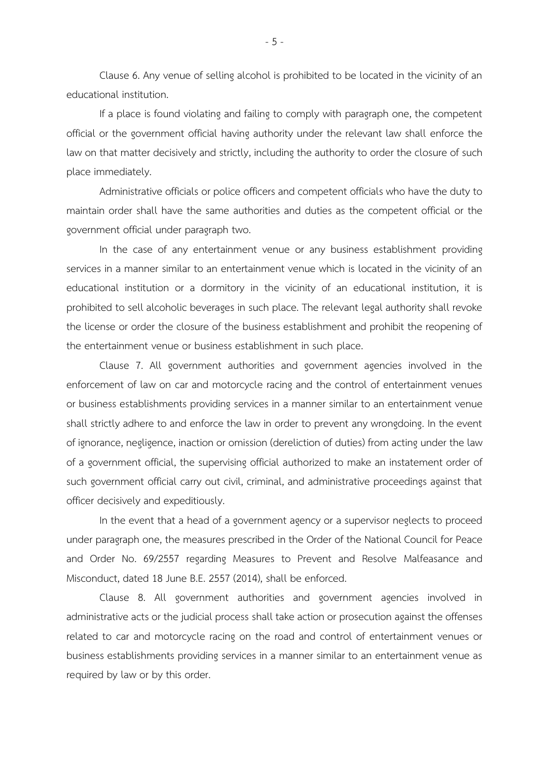Clause 6. Any venue of selling alcohol is prohibited to be located in the vicinity of an educational institution.

If a place is found violating and failing to comply with paragraph one, the competent official or the government official having authority under the relevant law shall enforce the law on that matter decisively and strictly, including the authority to order the closure of such place immediately.

Administrative officials or police officers and competent officials who have the duty to maintain order shall have the same authorities and duties as the competent official or the government official under paragraph two.

In the case of any entertainment venue or any business establishment providing services in a manner similar to an entertainment venue which is located in the vicinity of an educational institution or a dormitory in the vicinity of an educational institution, it is prohibited to sell alcoholic beverages in such place. The relevant legal authority shall revoke the license or order the closure of the business establishment and prohibit the reopening of the entertainment venue or business establishment in such place.

Clause 7. All government authorities and government agencies involved in the enforcement of law on car and motorcycle racing and the control of entertainment venues or business establishments providing services in a manner similar to an entertainment venue shall strictly adhere to and enforce the law in order to prevent any wrongdoing. In the event of ignorance, negligence, inaction or omission (dereliction of duties) from acting under the law of a government official, the supervising official authorized to make an instatement order of such government official carry out civil, criminal, and administrative proceedings against that officer decisively and expeditiously.

In the event that a head of a government agency or a supervisor neglects to proceed under paragraph one, the measures prescribed in the Order of the National Council for Peace and Order No. 69/2557 regarding Measures to Prevent and Resolve Malfeasance and Misconduct, dated 18 June B.E. 2557 (2014), shall be enforced.

Clause 8. All government authorities and government agencies involved in administrative acts or the judicial process shall take action or prosecution against the offenses related to car and motorcycle racing on the road and control of entertainment venues or business establishments providing services in a manner similar to an entertainment venue as required by law or by this order.